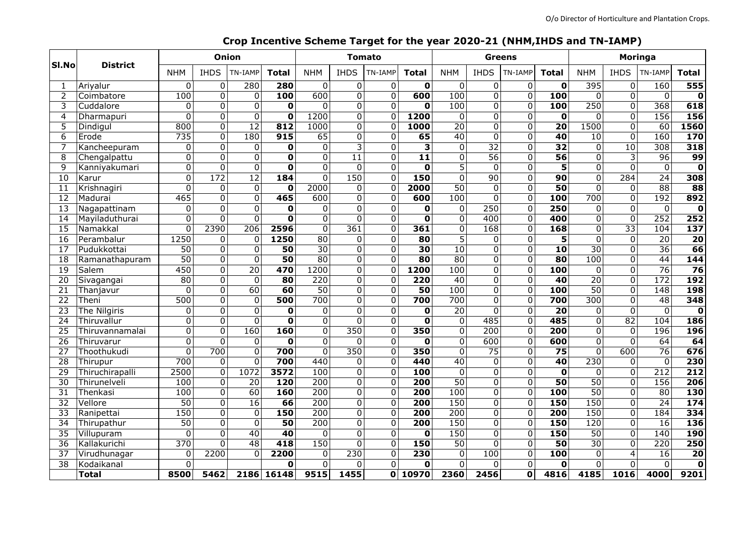| SI.No           | <b>District</b>     | Onion            |                  |                 |                         | <b>Tomato</b>    |                         |                |                         |                  |                         | <b>Greens</b>           |                         | Moringa          |                         |                  |                          |
|-----------------|---------------------|------------------|------------------|-----------------|-------------------------|------------------|-------------------------|----------------|-------------------------|------------------|-------------------------|-------------------------|-------------------------|------------------|-------------------------|------------------|--------------------------|
|                 |                     | <b>NHM</b>       | <b>IHDS</b>      | TN-IAMP         | <b>Total</b>            | <b>NHM</b>       | <b>IHDS</b>             | TN-IAMP        | <b>Total</b>            | <b>NHM</b>       | <b>IHDS</b>             | TN-IAMP                 | <b>Total</b>            | <b>NHM</b>       | <b>IHDS</b>             | TN-IAMP          | Total                    |
|                 | Ariyalur            | 0                | 0                | 280             | 280                     | 0                | 0                       | $\pmb{0}$      | 0                       | 0                | 0                       | 0                       | O                       | 395              | 0                       | 160              | $\overline{555}$         |
| 2               | Coimbatore          | 100              | $\Omega$         | $\Omega$        | 100                     | 600              | $\overline{0}$          | $\overline{0}$ | 600                     | 100              | $\overline{0}$          | $\overline{0}$          | 100                     | $\overline{0}$   | $\overline{\mathbf{o}}$ | $\overline{0}$   | $\mathbf 0$              |
| 3               | Cuddalore           | 0                | 0                | $\mathbf 0$     | $\mathbf 0$             | $\mathbf 0$      | $\overline{\mathsf{o}}$ | $\mathbf 0$    | 0                       | 100              | 0                       | $\overline{0}$          | 100                     | 250              | $\overline{0}$          | 368              | 618                      |
| 4               | Dharmapuri          | $\overline{0}$   | $\Omega$         | $\mathbf 0$     | $\mathbf 0$             | 1200             | $\mathbf 0$             | $\mathbf 0$    | 1200                    | $\mathbf 0$      | $\Omega$                | $\mathbf 0$             | $\mathbf 0$             | 0                | $\overline{0}$          | 156              | 156                      |
| 5               | Dindigul            | 800              | $\overline{0}$   | $\overline{12}$ | 812                     | 1000             | $\overline{0}$          | $\mathbf 0$    | 1000                    | $\overline{20}$  | 0                       | $\mathbf 0$             | $\overline{20}$         | 1500             | $\overline{0}$          | 60               | 1560                     |
| 6               | Erode               | 735              | 0                | 180             | $\overline{915}$        | 65               | $\overline{0}$          | $\overline{0}$ | 65                      | 40               | $\Omega$                | $\overline{0}$          | $\overline{40}$         | 10               | $\overline{0}$          | 160              | 170                      |
|                 | Kancheepuram        | $\overline{0}$   | $\overline{0}$   | $\mathbf 0$     | $\mathbf 0$             | $\overline{0}$   | $\overline{3}$          | $\overline{0}$ | $\overline{\mathbf{3}}$ | $\overline{0}$   | $\overline{32}$         | $\overline{0}$          | $\overline{32}$         | $\overline{0}$   | 10                      | $\overline{308}$ | 318                      |
| 8               | Chengalpattu        | $\overline{0}$   | $\overline{0}$   | $\mathbf 0$     | $\overline{\mathbf{o}}$ | $\overline{0}$   | $\overline{11}$         | $\mathbf 0$    | $\overline{11}$         | $\overline{0}$   | $\overline{56}$         | $\overline{0}$          | 56                      | $\overline{0}$   | $\overline{3}$          | 96               | 99                       |
| 9               | Kanniyakumari       | $\overline{0}$   | $\overline{0}$   | $\overline{0}$  | $\overline{\mathbf{o}}$ | $\overline{0}$   | $\overline{0}$          | $\overline{0}$ | O                       | $\overline{5}$   | $\Omega$                | $\overline{0}$          | $\overline{\mathbf{5}}$ | $\overline{0}$   | $\overline{0}$          | $\overline{0}$   | $\overline{\mathbf{0}}$  |
| 10              | Karur               | $\overline{0}$   | 172              | $\overline{12}$ | 184                     | $\Omega$         | 150                     | $\Omega$       | 150                     | $\mathbf 0$      | 90                      | $\mathbf 0$             | 90                      | $\overline{0}$   | 284                     | $\overline{24}$  | 308                      |
| 11              | Krishnagiri         | $\overline{0}$   | 0                | $\Omega$        | $\mathbf 0$             | 2000             | $\Omega$                | 0              | 2000                    | $\overline{50}$  | $\mathbf 0$             | 0                       | 50                      | $\overline{0}$   | $\mathbf{0}$            | $\overline{88}$  | $\overline{\textbf{88}}$ |
| 12              | Madurai             | 465              | 0                | $\mathbf 0$     | 465                     | 600              | $\mathbf 0$             | $\mathbf 0$    | 600                     | 100              | 0                       | $\overline{0}$          | 100                     | 700              | $\mathbf 0$             | 192              | 892                      |
| 13              | Nagapattinam        | 0                | $\Omega$         | $\Omega$        | $\mathbf 0$             | 0                | $\Omega$                | $\mathbf 0$    | 0                       | $\Omega$         | 250                     | $\mathbf 0$             | 250                     | $\Omega$         | $\overline{0}$          | $\mathbf 0$      | $\mathbf 0$              |
| 14              | Mayiladuthurai      | 0                | $\Omega$         | $\Omega$        | $\mathbf 0$             | $\overline{0}$   | $\Omega$                | $\Omega$       | O                       | $\mathbf 0$      | 400                     | $\mathbf 0$             | 400                     | $\mathbf 0$      | $\Omega$                | 252              | $\overline{252}$         |
| 15              | Namakkal            | 0                | 2390             | 206             | 2596                    | $\mathbf 0$      | 361                     | $\mathbf 0$    | 361                     | $\mathbf 0$      | 168                     | $\mathbf 0$             | 168                     | $\mathbf 0$      | $\overline{33}$         | 104              | $\frac{137}{2}$          |
| 16              | Perambalur          | 1250             | $\Omega$         | $\Omega$        | 1250                    | 80               | $\Omega$                | $\mathbf{0}$   | 80                      | $\overline{5}$   | $\Omega$                | 0                       | $\overline{\mathbf{5}}$ | $\overline{0}$   | $\overline{0}$          | $\overline{20}$  | $\overline{20}$          |
| 17              | Pudukkottai         | $\overline{50}$  | $\Omega$         | $\mathbf 0$     | 50                      | $\overline{30}$  | $\Omega$                | $\mathbf 0$    | $\overline{30}$         | 10               | $\Omega$                | $\mathbf 0$             | $\overline{10}$         | 30               | $\overline{0}$          | $\overline{36}$  | 66                       |
| 18              | Ramanathapuram      | $\overline{50}$  | $\overline{0}$   | $\mathbf 0$     | 50                      | $\overline{80}$  | $\Omega$                | $\mathbf 0$    | 80                      | 80               | $\Omega$                | $\overline{0}$          | 80                      | 100              | $\overline{\mathsf{o}}$ | 44               | 144                      |
| $\overline{19}$ | Salem               | 450              | $\Omega$         | $\overline{20}$ | 470                     | 1200             | $\Omega$                | 0              | 1200                    | 100              | $\Omega$                | $\mathbf 0$             | $\overline{100}$        | $\mathbf 0$      | $\overline{0}$          | $\overline{76}$  | $\overline{76}$          |
| 20              | Sivagangai          | 80               | $\Omega$         | $\mathbf 0$     | 80                      | $\overline{220}$ | $\overline{0}$          | $\overline{0}$ | $\overline{220}$        | $\overline{40}$  | $\Omega$                | 0                       | 40                      | $\overline{20}$  | $\overline{0}$          | 172              | 192                      |
| 21              | Thanjavur           | $\Omega$         | $\Omega$         | 60              | 60                      | $\overline{50}$  | $\Omega$                | $\Omega$       | $\overline{50}$         | 100              | $\Omega$                | $\mathbf 0$             | $\overline{100}$        | $\overline{50}$  | $\overline{0}$          | $\overline{148}$ | 198                      |
| 22              | Theni               | 500              | $\Omega$         | $\Omega$        | 500                     | 700              | $\Omega$                | $\overline{0}$ | 700                     | $\overline{700}$ | $\Omega$                | $\mathbf 0$             | 700                     | 300              | $\Omega$                | 48               | 348                      |
| 23              | <b>The Nilgiris</b> | 0                | $\Omega$         | $\Omega$        | $\mathbf 0$             | 0                | $\Omega$                | $\Omega$       | 0                       | $\overline{20}$  | $\Omega$                | 0                       | $\overline{20}$         | $\Omega$         | $\overline{0}$          | $\mathbf 0$      | $\overline{\mathbf{0}}$  |
| 24              | Thiruvallur         | $\overline{0}$   | $\Omega$         | $\Omega$        | $\mathbf 0$             | $\mathbf 0$      | $\Omega$                | $\mathbf 0$    | $\mathbf 0$             | $\mathbf 0$      | 485                     | $\Omega$                | 485                     | $\overline{0}$   | $\overline{82}$         | 104              | 186                      |
| $\overline{25}$ | Thiruvannamalai     | $\overline{0}$   | $\Omega$         | 160             | 160                     | $\overline{0}$   | 350                     | $\mathbf 0$    | 350                     | $\overline{0}$   | $\overline{200}$        | 0                       | $\overline{200}$        | $\overline{0}$   | $\mathbf{0}$            | 196              | 196                      |
| 26              | Thiruvarur          | 0                | $\Omega$         | $\Omega$        | $\mathbf 0$             | $\Omega$         | $\Omega$                | $\Omega$       | O                       | $\overline{0}$   | 600                     | $\Omega$                | 600                     | $\overline{0}$   | $\overline{0}$          | 64               | 64                       |
| $\overline{27}$ | Thoothukudi         | 0                | $\overline{700}$ | 0               | 700                     | $\overline{0}$   | 350                     | $\mathbf 0$    | 350                     | $\overline{0}$   | $\overline{75}$         | $\overline{0}$          | $\overline{75}$         | $\overline{0}$   | 600                     | $\overline{76}$  | 676                      |
| 28              | Thirupur            | 700              | $\Omega$         | $\Omega$        | 700                     | 440              | $\Omega$                | $\Omega$       | 440                     | $\overline{40}$  | $\Omega$                | $\Omega$                | 40                      | $\overline{230}$ | $\mathbf{0}$            | $\mathbf 0$      | 230                      |
| $\overline{29}$ | Thiruchirapalli     | 2500             | $\Omega$         | 1072            | 3572                    | 100              | $\overline{0}$          | $\mathbf 0$    | 100                     | $\mathbf 0$      | $\overline{0}$          | $\overline{0}$          | $\overline{\mathbf{0}}$ | $\mathbf 0$      | $\mathbf 0$             | 212              | $\overline{212}$         |
| $\overline{30}$ | Thirunelveli        | 100              | 0                | $\overline{20}$ | 120                     | $\overline{200}$ | $\mathbf 0$             | $\overline{0}$ | $\overline{200}$        | $\overline{50}$  | $\overline{0}$          | $\mathbf 0$             | $\overline{50}$         | $\overline{50}$  | $\overline{0}$          | 156              | $\overline{206}$         |
| 31              | Thenkasi            | 100              | $\overline{0}$   | 60              | 160                     | 200              | $\Omega$                | $\overline{0}$ | $\overline{200}$        | 100              | $\overline{\mathsf{o}}$ | $\overline{0}$          | 100                     | $\overline{50}$  | $\overline{0}$          | 80               | 130                      |
| $\overline{32}$ | Vellore             | $\overline{50}$  | $\Omega$         | 16              | 66                      | 200              | 0                       | $\overline{0}$ | $\overline{200}$        | 150              | 0                       | $\overline{0}$          | 150                     | 150              | $\overline{0}$          | $\overline{24}$  | 174                      |
| $\overline{33}$ | Ranipettai          | 150              | $\overline{0}$   | $\overline{0}$  | 150                     | $\overline{200}$ | $\overline{0}$          | $\overline{0}$ | $\overline{200}$        | $\overline{200}$ | 0                       | $\overline{0}$          | $\overline{200}$        | 150              | $\overline{0}$          | 184              | 334                      |
| $\overline{34}$ | Thirupathur         | 50               | 0                | $\mathbf 0$     | 50                      | 200              | $\mathbf 0$             | $\overline{0}$ | $\overline{200}$        | 150              | 0                       | $\overline{0}$          | 150                     | 120              | $\overline{0}$          | $\overline{16}$  | 136                      |
| $\overline{35}$ | Villupuram          | 0                | $\Omega$         | 40              | 40                      | 0                | $\Omega$                | $\mathbf 0$    | 0                       | 150              | $\Omega$                | $\overline{0}$          | 150                     | $\overline{50}$  | $\overline{0}$          | 140              | <b>190</b>               |
| $\overline{36}$ | Kallakurichi        | $\overline{370}$ | $\Omega$         | 48              | $\overline{418}$        | 150              | $\mathbf 0$             | $\mathbf 0$    | 150                     | 50               | $\Omega$                | $\overline{0}$          | 50                      | 30               | $\overline{0}$          | $\overline{220}$ | 250                      |
| $\overline{37}$ | Virudhunagar        | 0                | 2200             | $\Omega$        | 2200                    | 0                | $\overline{230}$        | $\overline{0}$ | 230                     | $\mathbf 0$      | 100                     | $\overline{0}$          | $\overline{100}$        | $\mathbf 0$      | $\overline{4}$          | $\overline{16}$  | $\overline{20}$          |
| $\overline{38}$ | Kodaikanal          | $\overline{0}$   |                  |                 | 0                       | $\overline{0}$   | $\Omega$                | $\overline{0}$ | $\overline{\textbf{0}}$ | $\overline{0}$   | $\Omega$                | $\overline{0}$          | $\overline{\mathbf{0}}$ | $\overline{0}$   | $\overline{0}$          | $\overline{0}$   | $\mathbf 0$              |
|                 | <b>Total</b>        | 8500             | 5462             |                 | 2186 16148              | 9515             | 1455                    | $\mathbf{0}$   | 10970                   | 2360             | 2456                    | $\overline{\mathbf{0}}$ | 4816                    | 4185             | 1016                    | 4000             | 9201                     |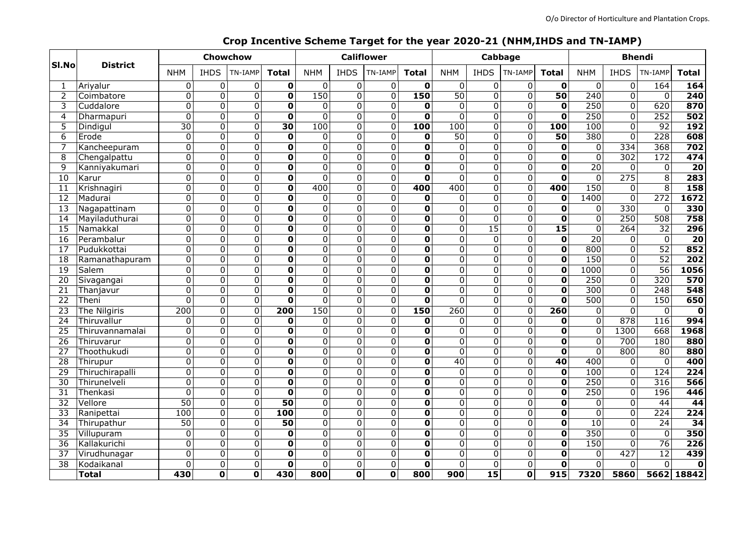#### Ariyalur 2 Coimbatore Cuddalore Dharmapuri Dindigul Erode Kancheepuram 8 Chengalpattu Kanniyakumari 10 Karur Krishnagiri Madurai Nagapattinam 14 Mayiladuthurai Namakkal Perambalur Pudukkottai Ramanathapuram 19 Salem Sivagangai 21 Thanjavur 22 Theni 23 The Nilgiris 24 Thiruvallur Thiruvannamalai Thiruvarur 27 Thoothukudi Thirupur 29 Thiruchirapalli Thirunelveli Thenkasi Vellore Ranipettai Thirupathur Villupuram Kallakurichi Virudhunagar Kodaikanal **Total Sl.No District** <code>NHM | IHDS |TN-IAMP|</code> <code>Total</code>  $\mid$  <code>NHM  $\mid$  <code>IHDS |TN-IAMP|</code> <code>Total</code>  $\mid$  <code>NHM  $\mid$  <code>IHDS |TN-IAMP|</code> <code>Total</code> <code>Total</code></code></code> 0 0 **0** 0 0 0 **0** 0 0 0 **0** 0 0 164 **164** 0 0 **0** 150 0 0 **150** 50 0 0 **50** 240 0 0 **240** 0 0 **0** 0 0 0 **0** 0 0 0 **0** 250 0 620 **870** 0 0 **0** 0 0 0 **0** 0 0 0 **0** 250 0 252 **502** 0 0 **30** 100 0 0 **100** 100 0 0 **100** 100 0 92 **192** 0 0 **0** 0 0 0 **0** 50 0 0 **50** 380 0 228 **608** 0 0 **0** 0 0 0 **0** 0 0 0 **0** 0 334 368 **702** 0 0 **0** 0 0 0 **0** 0 0 0 **0** 0 302 172 **474** 0 0 **0** 0 0 0 **0** 0 0 0 **0** 20 0 0 **20** 0 0 **0** 0 0 0 **0** 0 0 0 **0** 0 275 8 **283** 0 0 **0** 400 0 0 **400** 400 0 0 **400** 150 0 8 **158** 0 0 **0** 0 0 0 **0** 0 0 0 **0** 1400 0 272 **1672** 0 0 **0** 0 0 0 **0** 0 0 0 **0** 0 330 0 **330** 0 0 **0** 0 0 0 **0** 0 0 0 **0** 0 250 508 **758** 0 0 **0** 0 0 0 **0** 0 15 0 **15** 0 264 32 **296** 0 0 **0** 0 0 0 **0** 0 0 0 **0** 20 0 0 **20** 0 0 **0** 0 0 0 **0** 0 0 0 **0** 800 0 52 **852** 0 0 **0** 0 0 0 **0** 0 0 0 **0** 150 0 52 **202** 0 0 **0** 0 0 0 **0** 0 0 0 **0** 1000 0 56 **1056** 0 0 **0** 0 0 0 **0** 0 0 0 **0** 250 0 320 **570** 0 0 **0** 0 0 0 **0** 0 0 0 **0** 300 0 248 **548** 0 0 **0** 0 0 0 **0** 0 0 0 **0** 500 0 150 **650** 0 0 **200** 150 0 0 **150** 260 0 0 **260** 0 0 0 **0** 0 0 **0** 0 0 0 **0** 0 0 0 **0** 0 878 116 **994** 0 0 **0** 0 0 0 **0** 0 0 0 **0** 0 1300 668 **1968** 0 0 **0** 0 0 0 **0** 0 0 0 **0** 0 700 180 **880** 0 0 **0** 0 0 0 **0** 0 0 0 **0** 0 800 80 **880** 0 0 **0** 0 0 0 **0** 40 0 0 **40** 400 0 0 **400** 0 0 **0** 0 0 0 **0** 0 0 0 **0** 100 0 124 **224** 0 0 **0** 0 0 0 **0** 0 0 0 **0** 250 0 316 **566** 0 0 **0** 0 0 0 **0** 0 0 0 **0** 250 0 196 **446** 0 0 **50** 0 0 0 **0** 0 0 0 **0** 0 0 44 **44** 0 0 **100** 0 0 0 **0** 0 0 0 **0** 0 0 224 **224** 0 0 **50** 0 0 0 **0** 0 0 0 **0** 10 0 24 **34** 0 0 **0** 0 0 0 **0** 0 0 0 **0** 350 0 0 **350** 0 0 **0** 0 0 0 **0** 0 0 0 **0** 150 0 76 **226** 0 0 **0** 0 0 0 **0** 0 0 0 **0** 0 427 12 **439** 0 0 **0** 0 0 0 **0** 0 0 0 **0** 0 0 0 **0 0 0 430 800 0 0 800 900 15 0 915 7320 5860 5662 18842 Chowchow Califlower Cabbage Bhendi**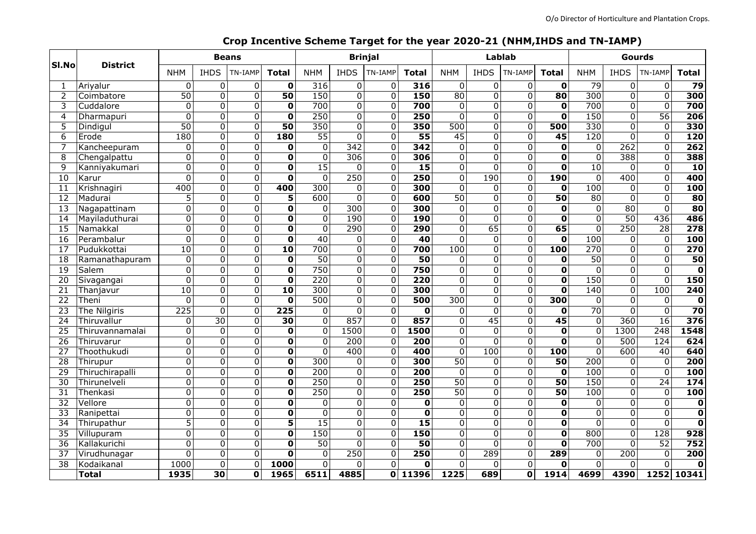| SI.No           | <b>District</b> | <b>Beans</b>    |                 |                |                         | <b>Brinjal</b>   |                  |                  |                  |                  |                 | Lablab         |                         | Gourds           |                  |                         |                         |
|-----------------|-----------------|-----------------|-----------------|----------------|-------------------------|------------------|------------------|------------------|------------------|------------------|-----------------|----------------|-------------------------|------------------|------------------|-------------------------|-------------------------|
|                 |                 | <b>NHM</b>      | <b>IHDS</b>     | TN-IAMP        | <b>Total</b>            | <b>NHM</b>       | <b>IHDS</b>      | TN-IAMP          | Total            | <b>NHM</b>       | <b>IHDS</b>     | TN-IAMP        | <b>Total</b>            | <b>NHM</b>       | <b>IHDS</b>      | TN-IAMP                 | <b>Total</b>            |
|                 | Ariyalur        | 0               | $\Omega$        | $\mathbf{0}$   | $\mathbf 0$             | 316              | 0                | $\mathbf 0$      | 316              | $\mathbf 0$      | 0               | 0              | $\mathbf 0$             | 79               | 0                | 0                       | 79                      |
| $\overline{2}$  | Coimbatore      | $\overline{50}$ | $\overline{0}$  | $\overline{0}$ | $\overline{50}$         | 150              | $\overline{0}$   | $\overline{0}$   | 150              | $\overline{80}$  | $\Omega$        | $\overline{0}$ | $\overline{80}$         | $\overline{300}$ | $\overline{0}$   | $\overline{0}$          | 300                     |
| 3               | Cuddalore       | 0               | $\Omega$        | $\mathbf 0$    | $\mathbf 0$             | 700              | 0                | $\pmb{0}$        | 700              | 0                | $\Omega$        | $\overline{0}$ | $\mathbf 0$             | 700              | 0                | $\overline{0}$          | 700                     |
| 4               | Dharmapuri      | $\Omega$        | $\Omega$        | $\Omega$       | $\mathbf 0$             | $\overline{250}$ | $\Omega$         | $\Omega$         | 250              | $\Omega$         | $\Omega$        | $\overline{0}$ | $\mathbf 0$             | 150              | $\Omega$         | $\overline{56}$         | 206                     |
| 5               | Dindigul        | $\overline{50}$ | $\Omega$        | $\Omega$       | $\overline{50}$         | 350              | $\Omega$         | $\mathbf 0$      | 350              | $\overline{500}$ | $\Omega$        | $\mathbf 0$    | 500                     | 330              | $\Omega$         | 0                       | 330                     |
| 6               | Erode           | 180             | $\Omega$        | $\Omega$       | 180                     | $\overline{55}$  | $\Omega$         | $\mathbf 0$      | $\overline{55}$  | $\overline{45}$  | $\Omega$        | $\overline{0}$ | $\overline{45}$         | 120              | $\Omega$         | 0                       | 120                     |
|                 | Kancheepuram    | $\overline{0}$  | $\Omega$        | $\overline{0}$ | $\mathbf 0$             | $\mathbf 0$      | 342              | $\overline{0}$   | $\overline{342}$ | $\mathbf 0$      | $\Omega$        | $\mathbf 0$    | $\mathbf 0$             | $\mathbf 0$      | $\overline{262}$ | $\overline{0}$          | $\overline{262}$        |
| 8               | Chengalpattu    | $\overline{0}$  | $\Omega$        | $\mathbf 0$    | $\mathbf 0$             | $\overline{0}$   | $\overline{306}$ | $\mathbf 0$      | 306              | $\Omega$         | $\Omega$        | $\overline{0}$ | $\overline{\mathbf{0}}$ | $\overline{0}$   | 388              | $\overline{0}$          | 388                     |
| 9               | Kanniyakumari   | $\overline{0}$  | $\Omega$        | $\mathbf 0$    | $\mathbf 0$             | $\overline{15}$  | $\Omega$         | $\Omega$         | $\overline{15}$  | $\Omega$         | $\Omega$        | $\overline{0}$ | $\mathbf 0$             | $\overline{10}$  | 0                | $\overline{\mathsf{o}}$ | $\overline{10}$         |
| 10              | Karur           | $\Omega$        | $\Omega$        | $\mathbf{0}$   | $\mathbf 0$             | $\Omega$         | 250              | $\mathbf 0$      | $\overline{250}$ | 0                | 190             | $\mathbf 0$    | 190                     | $\overline{0}$   | 400              | $\overline{0}$          | 400                     |
| 11              | Krishnagiri     | 400             | $\Omega$        | $\overline{0}$ | 400                     | $\overline{300}$ | $\mathbf 0$      | $\overline{0}$   | 300              | $\mathbf 0$      | $\Omega$        | $\overline{0}$ | $\mathbf 0$             | 100              | $\mathbf 0$      | $\overline{\mathsf{o}}$ | 100                     |
| 12              | Madurai         | 5               | $\Omega$        | $\mathbf 0$    | 5                       | $\overline{600}$ | 0                | $\boldsymbol{0}$ | 600              | $\overline{50}$  | $\Omega$        | $\mathbf 0$    | $\overline{50}$         | 80               | $\mathbf 0$      | $\overline{0}$          | 80                      |
| 13              | Nagapattinam    | $\overline{0}$  | $\Omega$        | $\Omega$       | 0                       | $\Omega$         | 300              | $\mathbf 0$      | $\overline{300}$ | $\Omega$         | $\Omega$        | $\overline{0}$ | $\mathbf 0$             | $\mathbf 0$      | $\overline{80}$  | $\overline{0}$          | 80                      |
| 14              | Mayiladuthurai  | 0               | $\Omega$        | $\Omega$       | 0                       | 0                | 190              | $\Omega$         | <b>190</b>       | 0                | $\Omega$        | $\overline{0}$ | $\mathbf 0$             | 0                | $\overline{50}$  | 436                     | 486                     |
| 15              | Namakkal        | 0               | $\Omega$        | $\Omega$       | $\mathbf 0$             | $\Omega$         | 290              | $\mathbf 0$      | 290              | $\Omega$         | 65              | $\overline{0}$ | 65                      | $\Omega$         | 250              | $\overline{28}$         | $\overline{278}$        |
| 16              | Perambalur      | $\overline{0}$  | $\Omega$        | $\mathbf 0$    | $\mathbf 0$             | 40               | $\Omega$         | $\overline{0}$   | $\overline{40}$  | $\Omega$         | $\Omega$        | $\mathbf 0$    | $\mathbf 0$             | 100              | $\mathbf 0$      | $\overline{0}$          | 100                     |
| 17              | Pudukkottai     | $\overline{10}$ | $\Omega$        | $\mathbf 0$    | $\overline{10}$         | 700              | $\overline{0}$   | 0                | 700              | 100              | $\Omega$        | $\overline{0}$ | 100                     | $\overline{270}$ | $\overline{0}$   | $\overline{0}$          | 270                     |
| 18              | Ramanathapuram  | $\overline{0}$  | $\Omega$        | $\mathbf 0$    | $\overline{\mathbf{0}}$ | $\overline{50}$  | $\Omega$         | $\Omega$         | $\overline{50}$  | $\Omega$         | $\Omega$        | $\mathbf 0$    | $\mathbf 0$             | $\overline{50}$  | 0                | $\overline{\mathsf{o}}$ | 50                      |
| $\overline{19}$ | Salem           | 0               | $\Omega$        | $\mathbf 0$    | $\mathbf 0$             | 750              | $\Omega$         | $\Omega$         | 750              | 0                | $\Omega$        | $\overline{0}$ | $\mathbf 0$             | $\Omega$         | $\mathbf 0$      | $\mathbf 0$             | $\mathbf 0$             |
| 20              | Sivagangai      | $\overline{0}$  | $\Omega$        | $\mathbf 0$    | $\overline{\mathbf{0}}$ | $\overline{220}$ | 0                | $\overline{0}$   | $\overline{220}$ | 0                | $\Omega$        | $\overline{0}$ | $\overline{\mathbf{0}}$ | 150              | $\overline{0}$   | $\overline{\mathsf{o}}$ | 150                     |
| 21              | Thanjavur       | $\overline{10}$ | $\Omega$        | $\mathbf 0$    | $\overline{10}$         | $\overline{300}$ | 0                | $\overline{0}$   | $\overline{300}$ | $\Omega$         | 0               | $\overline{0}$ | $\mathbf 0$             | 140              | $\mathbf 0$      | 100                     | 240                     |
| 22              | Theni           | $\overline{0}$  | $\Omega$        | $\Omega$       | $\mathbf 0$             | $\overline{500}$ | $\Omega$         | $\mathbf 0$      | 500              | $\overline{300}$ | $\Omega$        | $\overline{0}$ | 300                     | 0                | $\Omega$         | 0                       | $\mathbf 0$             |
| $\overline{23}$ | The Nilgiris    | 225             | $\Omega$        | $\mathbf{0}$   | $\overline{225}$        | 0                | $\Omega$         | $\mathbf{0}$     | $\mathbf 0$      | 0                | $\Omega$        | $\overline{0}$ | $\mathbf 0$             | $\overline{70}$  | $\Omega$         | 0                       | $\overline{70}$         |
| 24              | Thiruvallur     | 0               | $\overline{30}$ | $\mathbf{0}$   | 30                      | $\Omega$         | 857              | $\mathbf 0$      | 857              | $\Omega$         | $\overline{45}$ | $\mathbf 0$    | $\overline{45}$         | $\mathbf 0$      | $\overline{360}$ | $\overline{16}$         | $\frac{1}{376}$         |
| 25              | Thiruvannamalai | $\overline{0}$  | $\mathbf 0$     | $\mathbf 0$    | $\mathbf 0$             | $\mathbf 0$      | 1500             | $\overline{0}$   | 1500             | 0                | $\Omega$        | $\mathbf 0$    | $\mathbf 0$             | $\overline{0}$   | 1300             | $\overline{248}$        | 1548                    |
| $\overline{26}$ | Thiruvarur      | 0               | $\Omega$        | $\mathbf{0}$   | $\mathbf 0$             | $\Omega$         | $\overline{200}$ | $\mathbf 0$      | 200              | $\Omega$         | $\Omega$        | $\overline{0}$ | $\mathbf 0$             | 0                | 500              | 124                     | 624                     |
| 27              | Thoothukudi     | $\overline{0}$  | $\Omega$        | $\mathbf 0$    | $\overline{\mathbf{0}}$ | $\Omega$         | 400              | 0                | 400              | $\Omega$         | 100             | $\overline{0}$ | 100                     | $\overline{0}$   | 600              | $\overline{40}$         | 640                     |
| $\overline{28}$ | Thirupur        | 0               | $\Omega$        | $\mathbf 0$    | 0                       | $\overline{300}$ | $\Omega$         | $\mathbf{0}$     | 300              | $\overline{50}$  | $\Omega$        | $\mathbf 0$    | $\overline{50}$         | $\overline{200}$ | $\mathbf{0}$     | $\mathbf 0$             | $\overline{200}$        |
| 29              | Thiruchirapalli | $\overline{0}$  | $\overline{0}$  | $\mathbf 0$    | $\mathbf 0$             | 200              | 0                | $\pmb{0}$        | 200              | $\mathbf 0$      | $\Omega$        | $\mathbf 0$    | $\mathbf 0$             | 100              | $\mathbf 0$      | $\overline{\mathsf{o}}$ | 100                     |
| 30              | Thirunelveli    | $\overline{0}$  | $\Omega$        | $\mathbf 0$    | $\overline{\mathbf{0}}$ | $\overline{250}$ | 0                | $\overline{0}$   | 250              | $\overline{50}$  | 0               | $\overline{0}$ | $\overline{50}$         | 150              | $\overline{0}$   | $\overline{24}$         | 174                     |
| 31              | Thenkasi        | $\overline{0}$  | $\Omega$        | $\Omega$       | 0                       | 250              | $\Omega$         | $\mathbf 0$      | 250              | $\overline{50}$  | $\Omega$        | $\overline{0}$ | $\overline{50}$         | 100              | $\Omega$         | 0                       | 100                     |
| 32              | Vellore         | 0               | $\Omega$        | $\Omega$       | 0                       | $\Omega$         | 0                | $\Omega$         | $\mathbf 0$      | $\mathbf 0$      | $\Omega$        | $\mathbf 0$    | $\mathbf 0$             | $\Omega$         | $\Omega$         | 0                       | $\pmb{0}$               |
| $\overline{33}$ | Ranipettai      | 0               | $\Omega$        | $\mathbf{0}$   | $\mathbf 0$             | $\mathbf 0$      | $\Omega$         | $\mathbf{0}$     | $\mathbf 0$      | $\Omega$         | 0               | $\mathbf 0$    | $\mathbf 0$             | 0                | $\mathbf{0}$     | 0                       | $\overline{\mathbf{0}}$ |
| 34              | Thirupathur     | 5               | $\mathbf 0$     | $\mathbf 0$    | 5                       | 15               | 0                | $\overline{0}$   | $\overline{15}$  | $\Omega$         | $\Omega$        | $\mathbf 0$    | $\mathbf 0$             | $\mathbf 0$      | $\mathbf 0$      | $\mathbf 0$             | $\mathbf 0$             |
| $\overline{35}$ | Villupuram      | 0               | $\Omega$        | $\Omega$       | 0                       | 150              | $\Omega$         | $\mathbf 0$      | 150              | $\Omega$         | $\Omega$        | $\mathbf 0$    | $\mathbf 0$             | 800              | $\mathbf 0$      | $\overline{128}$        | 928                     |
| 36              | Kallakurichi    | $\overline{0}$  | $\Omega$        | $\mathbf 0$    | 0                       | $\overline{50}$  | $\Omega$         | $\Omega$         | 50               | $\Omega$         | $\Omega$        | $\overline{0}$ | 0                       | 700              | 0                | $\overline{52}$         | 752                     |
| 37              | Virudhunagar    | $\Omega$        | $\Omega$        | $\mathbf{0}$   | $\mathbf 0$             | $\mathbf{0}$     | 250              | $\Omega$         | 250              | $\Omega$         | 289             | $\overline{0}$ | 289                     | 0                | 200              | 0                       | 200                     |
| 38              | Kodaikanal      | 1000            | $\Omega$        | $\mathbf{0}$   | 1000                    | $\pmb{0}$        | $\Omega$         | $\mathbf{0}$     | $\mathbf 0$      | $\Omega$         | $\Omega$        | $\mathbf 0$    | $\mathbf 0$             | $\mathbf 0$      | $\mathbf{0}$     | $\mathbf 0$             | $\mathbf 0$             |
|                 | <b>Total</b>    | 1935            | 30              | O              | 1965                    | 6511             | 4885             |                  | 0 11396          | 1225             | 689             | $\mathbf 0$    | 1914                    | 4699             | 4390             |                         | 1252 10341              |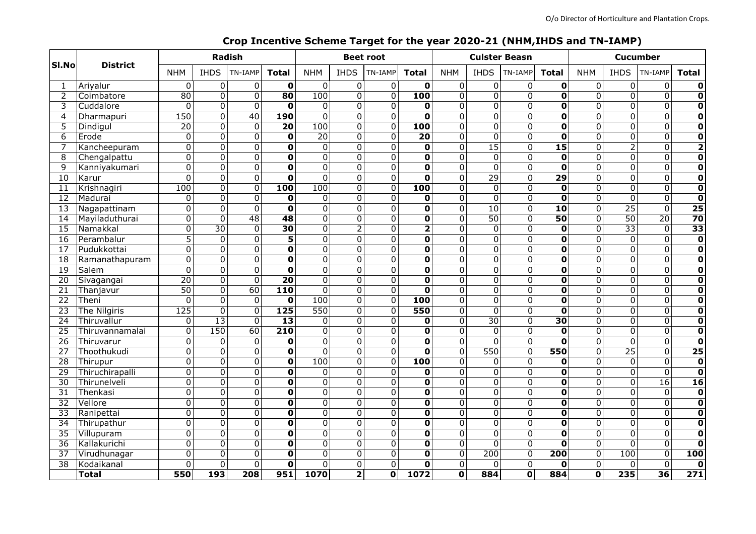| SI.No           | <b>District</b> | <b>Radish</b>   |                         |                 |                         | <b>Beet root</b> |                         |                         |                         |                         |                         | <b>Culster Beasn</b>    |                         | <b>Cucumber</b>         |                         |                 |                         |
|-----------------|-----------------|-----------------|-------------------------|-----------------|-------------------------|------------------|-------------------------|-------------------------|-------------------------|-------------------------|-------------------------|-------------------------|-------------------------|-------------------------|-------------------------|-----------------|-------------------------|
|                 |                 | <b>NHM</b>      | <b>IHDS</b>             | TN-IAMP         | <b>Total</b>            | <b>NHM</b>       | <b>IHDS</b>             | TN-IAMP                 | <b>Total</b>            | <b>NHM</b>              | <b>IHDS</b>             | TN-IAMP                 | <b>Total</b>            | <b>NHM</b>              | <b>IHDS</b>             | TN-IAMP         | <b>Total</b>            |
|                 | Ariyalur        | 0               | 0                       | 0               | $\mathbf 0$             | 0                | $\mathbf 0$             | $\pmb{0}$               | O                       | 0                       | 0                       | 0                       | $\mathbf 0$             | $\mathbf 0$             | $\overline{0}$          | $\pmb{0}$       | 0                       |
| 2               | Coimbatore      | $\overline{80}$ | $\overline{0}$          | $\overline{0}$  | $\overline{80}$         | 100              | $\overline{0}$          | $\overline{0}$          | 100                     | $\overline{0}$          | $\overline{0}$          | $\overline{0}$          | $\overline{\textbf{0}}$ | $\overline{0}$          | $\overline{0}$          | $\overline{0}$  | $\overline{\mathbf{o}}$ |
| 3               | Cuddalore       | 0               | 0                       | $\mathbf 0$     | $\mathbf 0$             | $\mathbf 0$      | $\mathbf 0$             | $\mathbf 0$             | 0                       | $\overline{0}$          | 0                       | $\mathbf 0$             | $\overline{\mathbf{0}}$ | $\overline{0}$          | $\overline{0}$          | $\overline{0}$  | $\overline{\mathbf{0}}$ |
| 4               | Dharmapuri      | 150             | $\overline{0}$          | 40              | <b>190</b>              | $\overline{0}$   | $\mathbf 0$             | $\mathbf 0$             | $\overline{\mathbf{o}}$ | $\overline{0}$          | 0                       | $\mathbf 0$             | $\overline{\mathbf{0}}$ | $\overline{0}$          | $\overline{0}$          | $\overline{0}$  | $\overline{\mathbf{o}}$ |
| 5               | Dindigul        | $\overline{20}$ | 0                       | $\Omega$        | 20                      | 100              | $\mathbf 0$             | $\mathbf 0$             | 100                     | 0                       | 0                       | $\mathbf 0$             | 0                       | $\overline{0}$          | 0                       | $\mathbf 0$     | $\overline{\mathbf{0}}$ |
| 6               | Erode           | 0               | $\Omega$                | $\mathbf 0$     | $\mathbf 0$             | $\overline{20}$  | $\mathbf 0$             | $\mathbf 0$             | $\overline{20}$         | 0                       | $\Omega$                | $\mathbf 0$             | $\overline{\mathbf{0}}$ | $\overline{0}$          | $\overline{0}$          | $\overline{0}$  | $\overline{\mathbf{0}}$ |
|                 | Kancheepuram    | $\overline{0}$  | 0                       | $\mathbf 0$     | $\overline{\mathbf{0}}$ | $\overline{0}$   | $\mathbf 0$             | $\mathbf 0$             | 0                       | $\overline{0}$          | $\overline{15}$         | $\overline{0}$          | $\overline{15}$         | $\overline{0}$          | $\overline{2}$          | $\overline{0}$  | $\overline{\mathbf{2}}$ |
| 8               | Chengalpattu    | $\overline{0}$  | 0                       | $\mathbf 0$     | 0                       | 0                | $\mathbf 0$             | $\mathbf 0$             | $\overline{\mathbf{0}}$ | $\overline{0}$          | $\mathbf 0$             | $\overline{0}$          | $\overline{\mathbf{0}}$ | $\overline{0}$          | $\overline{0}$          | $\overline{0}$  | $\overline{\mathbf{o}}$ |
| 9               | Kanniyakumari   | $\overline{0}$  | $\overline{0}$          | $\overline{0}$  | $\overline{\mathbf{o}}$ | $\overline{0}$   | 0                       | $\mathbf 0$             | $\overline{\mathbf{o}}$ | $\overline{0}$          | $\overline{0}$          | $\overline{0}$          | $\overline{\mathbf{0}}$ | $\overline{0}$          | $\overline{0}$          | $\overline{0}$  | $\overline{\mathbf{o}}$ |
| 10              | Karur           | $\overline{0}$  | $\Omega$                | $\Omega$        | $\overline{\mathbf{0}}$ | $\overline{0}$   | $\Omega$                | 0                       | O                       | $\overline{0}$          | 29                      | $\overline{0}$          | 29                      | $\overline{0}$          | $\overline{0}$          | $\overline{0}$  | $\overline{\mathbf{0}}$ |
| 11              | Krishnagiri     | 100             | $\overline{\mathsf{o}}$ | $\overline{0}$  | $\overline{100}$        | 100              | $\overline{\mathsf{o}}$ | $\overline{0}$          | 100                     | $\overline{0}$          | $\overline{0}$          | 0                       | $\overline{\mathbf{0}}$ | $\overline{0}$          | $\overline{0}$          | $\overline{0}$  | $\overline{\mathbf{0}}$ |
| 12              | Madurai         | 0               | 0                       | $\Omega$        | $\mathbf 0$             | 0                | $\mathbf 0$             | $\Omega$                | O                       | $\mathbf 0$             | $\mathbf 0$             | $\mathbf 0$             | $\overline{\mathbf{0}}$ | $\overline{0}$          | $\overline{0}$          | $\overline{0}$  | $\overline{\mathbf{o}}$ |
| 13              | Nagapattinam    | $\overline{0}$  | $\overline{0}$          | $\Omega$        | $\mathbf 0$             | 0                | $\Omega$                | $\mathbf 0$             | 0                       | $\overline{0}$          | $\overline{10}$         | 0                       | $\overline{10}$         | $\overline{0}$          | $\overline{25}$         | $\overline{0}$  | $\overline{25}$         |
| 14              | Mayiladuthurai  | 0               | $\Omega$                | $\overline{48}$ | 48                      | 0                | 0                       | $\Omega$                | 0                       | $\Omega$                | $\overline{50}$         | 0                       | $\overline{50}$         | $\mathbf 0$             | $\overline{50}$         | $\overline{20}$ | $\overline{70}$         |
| 15              | Namakkal        | 0               | $\overline{30}$         | $\mathbf 0$     | 30                      | 0                | $\overline{2}$          | $\mathbf 0$             | $\overline{\mathbf{2}}$ | $\mathbf 0$             | $\mathbf 0$             | 0                       | $\mathbf 0$             | $\overline{0}$          | $\overline{33}$         | $\mathbf 0$     | $\overline{33}$         |
| 16              | Perambalur      | $\overline{5}$  | $\Omega$                | $\Omega$        | $\overline{\mathbf{5}}$ | 0                | $\mathbf 0$             | $\Omega$                | 0                       | $\mathbf 0$             | 0                       | $\mathbf 0$             | $\overline{\mathbf{0}}$ | $\overline{0}$          | $\overline{0}$          | $\overline{0}$  | $\overline{\mathbf{0}}$ |
| 17              | Pudukkottai     | $\overline{0}$  | $\Omega$                | $\Omega$        | $\mathbf 0$             | 0                | $\Omega$                | $\Omega$                | $\mathbf 0$             | $\Omega$                | $\Omega$                | $\Omega$                | 0                       | $\mathbf 0$             | $\overline{0}$          | $\mathbf 0$     | $\mathbf 0$             |
| 18              | Ramanathapuram  | $\overline{0}$  | 0                       | 0               | 0                       | 0                | $\Omega$                | $\Omega$                | 0                       | 0                       | 0                       | $\Omega$                | $\overline{\mathbf{0}}$ | $\mathbf 0$             | $\overline{0}$          | $\mathbf 0$     | $\overline{\mathbf{0}}$ |
| $\overline{19}$ | Salem           | 0               | $\Omega$                | $\Omega$        | $\mathbf 0$             | 0                | $\mathbf 0$             | $\mathbf 0$             | O                       | 0                       | $\Omega$                | $\mathbf 0$             | $\mathbf 0$             | $\overline{0}$          | $\overline{0}$          | $\overline{0}$  | $\overline{\mathbf{0}}$ |
| $\overline{20}$ | Sivagangai      | $\overline{20}$ | $\overline{\mathsf{o}}$ | $\mathbf 0$     | $\overline{20}$         | $\overline{0}$   | $\overline{0}$          | $\overline{0}$          | $\overline{\mathbf{0}}$ | $\overline{0}$          | $\overline{\mathsf{o}}$ | $\overline{0}$          | $\overline{\mathbf{0}}$ | $\overline{0}$          | $\overline{\mathbf{o}}$ | $\overline{0}$  | $\overline{\mathbf{0}}$ |
| $\overline{21}$ | Thanjavur       | $\overline{50}$ | $\Omega$                | $\overline{60}$ | $\overline{110}$        | $\mathbf 0$      | $\Omega$                | $\mathbf 0$             | O                       | $\overline{0}$          | $\Omega$                | $\mathbf 0$             | $\overline{\mathbf{0}}$ | $\overline{0}$          | $\overline{0}$          | $\overline{0}$  | $\overline{\mathbf{o}}$ |
| 22              | Theni           | 0               | $\Omega$                | $\Omega$        | $\mathbf 0$             | 100              | $\Omega$                | $\mathbf 0$             | 100                     | $\overline{0}$          | $\Omega$                | $\mathbf 0$             | 0                       | $\overline{0}$          | $\overline{0}$          | $\mathbf 0$     | $\overline{\mathbf{0}}$ |
| $\overline{23}$ | The Nilgiris    | 125             | $\Omega$                | $\Omega$        | $\overline{125}$        | $\overline{550}$ | $\Omega$                | $\Omega$                | 550                     | $\Omega$                | $\Omega$                | $\mathbf 0$             | $\overline{\mathbf{o}}$ | $\overline{0}$          | $\overline{0}$          | $\overline{0}$  | $\overline{\mathbf{0}}$ |
| 24              | Thiruvallur     | $\Omega$        | $\overline{13}$         | $\Omega$        | $\overline{13}$         | $\mathbf 0$      | $\Omega$                | $\mathbf 0$             | 0                       | $\overline{0}$          | $\overline{30}$         | $\overline{0}$          | $\overline{30}$         | $\overline{0}$          | $\overline{0}$          | $\overline{0}$  | $\overline{\mathbf{0}}$ |
| $\overline{25}$ | Thiruvannamalai | $\overline{0}$  | 150                     | 60              | $\overline{210}$        | $\mathbf 0$      | $\Omega$                | $\mathbf 0$             | $\overline{\mathbf{0}}$ | $\Omega$                | $\mathbf 0$             | $\overline{0}$          | $\mathbf 0$             | $\overline{0}$          | $\overline{0}$          | $\overline{0}$  | $\overline{\mathbf{0}}$ |
| $\overline{26}$ | Thiruvarur      | 0               | $\Omega$                | $\Omega$        | $\mathbf 0$             | 0                | $\Omega$                | $\Omega$                | O                       | $\Omega$                | $\Omega$                | $\Omega$                | 0                       | $\overline{0}$          | $\overline{0}$          | $\mathbf 0$     | $\overline{\mathbf{o}}$ |
| 27              | Thoothukudi     | 0               | $\Omega$                | $\Omega$        | $\mathbf 0$             | $\Omega$         | $\Omega$                | $\Omega$                | O                       | $\mathbf 0$             | 550                     | $\Omega$                | 550                     | $\overline{0}$          | $\overline{25}$         | $\overline{0}$  | $\overline{25}$         |
| $\overline{28}$ | Thirupur        | 0               | $\Omega$                | $\Omega$        | $\mathbf 0$             | 100              | $\Omega$                | $\mathbf 0$             | $\overline{100}$        | $\mathbf 0$             | $\Omega$                | $\Omega$                | $\mathbf 0$             | $\mathbf 0$             | $\overline{0}$          | $\mathbf 0$     | $\mathbf 0$             |
| $\overline{29}$ | Thiruchirapalli | $\overline{0}$  | $\overline{0}$          | $\mathbf 0$     | $\overline{\mathbf{0}}$ | $\pmb{0}$        | $\Omega$                | $\mathbf 0$             | $\mathbf 0$             | $\overline{0}$          | $\overline{0}$          | $\overline{0}$          | $\overline{\mathbf{0}}$ | $\overline{0}$          | $\overline{\mathbf{o}}$ | $\overline{0}$  | $\overline{\mathbf{0}}$ |
| $\overline{30}$ | Thirunelveli    | $\overline{0}$  | $\overline{0}$          | $\Omega$        | $\overline{\mathbf{0}}$ | $\overline{0}$   | $\overline{0}$          | $\overline{0}$          | $\overline{\mathbf{0}}$ | $\overline{0}$          | $\overline{0}$          | $\Omega$                | $\overline{\textbf{0}}$ | $\overline{0}$          | $\overline{0}$          | $\overline{16}$ | $\overline{16}$         |
| 31              | Thenkasi        | $\overline{0}$  | $\overline{0}$          | 0               | $\mathbf 0$             | 0                | $\mathbf 0$             | $\mathbf 0$             | $\mathbf 0$             | $\overline{0}$          | $\overline{0}$          | $\mathbf 0$             | $\overline{\mathbf{0}}$ | $\overline{0}$          | $\overline{0}$          | $\mathbf 0$     | $\overline{\mathbf{0}}$ |
| $\overline{32}$ | Vellore         | 0               | 0                       | $\Omega$        | $\overline{\mathbf{0}}$ | $\overline{0}$   | $\Omega$                | $\Omega$                | 0                       | 0                       | $\Omega$                | $\mathbf 0$             | $\overline{\mathbf{0}}$ | $\overline{0}$          | $\overline{0}$          | $\overline{0}$  | $\overline{\mathbf{0}}$ |
| $\overline{33}$ | Ranipettai      | $\overline{0}$  | $\overline{0}$          | $\mathbf 0$     | $\overline{\mathbf{0}}$ | $\overline{0}$   | $\overline{0}$          | $\overline{0}$          | $\overline{\mathbf{0}}$ | $\overline{0}$          | $\overline{0}$          | $\overline{0}$          | $\overline{\textbf{0}}$ | $\overline{0}$          | $\overline{0}$          | $\overline{0}$  | $\overline{\mathbf{0}}$ |
| $\overline{34}$ | Thirupathur     | $\overline{0}$  | $\overline{0}$          | $\mathbf 0$     | $\overline{\textbf{0}}$ | $\overline{0}$   | $\mathbf 0$             | $\overline{0}$          | $\overline{\mathbf{0}}$ | $\overline{0}$          | $\overline{0}$          | $\overline{0}$          | $\overline{\mathbf{0}}$ | $\overline{0}$          | $\overline{0}$          | $\overline{0}$  | $\overline{\mathbf{0}}$ |
| $\overline{35}$ | Villupuram      | $\overline{0}$  | $\Omega$                | $\Omega$        | $\overline{\mathbf{0}}$ | 0                | $\Omega$                | $\mathbf 0$             | 0                       | $\overline{0}$          | $\Omega$                | $\overline{0}$          | $\overline{\mathbf{o}}$ | $\overline{0}$          | $\overline{\mathsf{o}}$ | $\overline{0}$  | $\overline{\mathbf{o}}$ |
| $\overline{36}$ | Kallakurichi    | $\overline{0}$  | 0                       | 0               | $\mathbf 0$             | 0                | 0                       | $\mathbf 0$             | 0                       | 0                       | $\Omega$                | $\overline{0}$          | $\overline{\mathbf{0}}$ | $\overline{0}$          | $\overline{0}$          | $\overline{0}$  | $\overline{\mathbf{0}}$ |
| $\overline{37}$ | Virudhunagar    | 0               | 0                       | $\Omega$        | 0                       | $\overline{0}$   | $\mathbf 0$             | $\mathbf 0$             | 0                       | $\mathbf 0$             | $\overline{200}$        | $\mathbf 0$             | $\overline{200}$        | $\overline{0}$          | 100                     | $\overline{0}$  | 100                     |
| $\overline{38}$ | Kodaikanal      | 0               | $\overline{0}$          | $\mathbf 0$     | $\overline{\mathbf{0}}$ | $\overline{0}$   | $\mathbf 0$             | $\mathbf 0$             | 0                       | 0                       | 0                       | $\overline{0}$          | $\mathbf 0$             | $\overline{0}$          | $\overline{0}$          | $\overline{0}$  | $\mathbf 0$             |
|                 | <b>Total</b>    | 550             | 193                     | 208             | 951                     | 1070             | $\overline{\mathbf{2}}$ | $\overline{\textbf{0}}$ | 1072                    | $\overline{\mathbf{0}}$ | 884                     | $\overline{\mathbf{0}}$ | 884                     | $\overline{\textbf{0}}$ | 235                     | $\overline{36}$ | $\overline{271}$        |